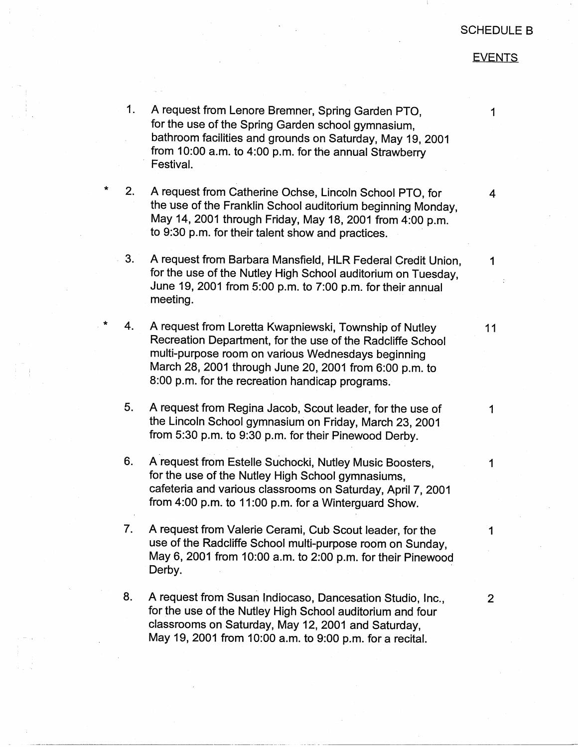## SCHEDULE B

## **EVENTS**

1

1. A request from Lenore Bremner, Spring Garden PTO, for the use of the Spring Garden school gymnasium, bathroom facilities and grounds on Saturday, May 19, 2001 from 10:00 a.m. to 4:00 p.m. for the annual Strawberry Festival.

 $\star$  2. A request from Catherine Ochse, Lincoln School PTO, for the use of the Franklin School auditorium beginning Monday, May 14, 2001 through Friday, May 18, 2001 from 4:00 p.m. to 9:30 p.m. for their talent show and practices.

3. A request from Barbara Mansfield, HLR Federal Credit Union, 1 for the use of the Nutley High School auditorium on Tuesday, June 19, 2001 from 5:00 p.m. to 7:00 p.m. for their annual meeting.

\* 4. A request from Loretta Kwapniewski, Township of Nutley 11 Recreation Department, for the use of the Radcliffe School multi-purpose room on various Wednesdays beginning March 28, 2001 through June 20, 2001 from 6:00 p.m. to 8:00 p.m. for the recreation handicap programs.

5. A request from Regina Jacob, Scout leader, for the use of 1 the Lincoln School gymnasium on Friday, March 23, 2001 from 5:30 p.m. to 9:30 p.m. for their Pinewood Derby.

6. A request from Estelle Suchocki, Nutley Music Boosters, 1997-1998 for the use of the Nutley High School gymnasiums, cafeteria and various classrooms on Saturday, April 7, 2001 from 4:00 p.m. to 11 :00 p.m. for a Winterguard Show.

7. A request from Valerie Cerami, Cub Scout leader, for the 1 use of the Radcliffe School multi-purpose room on Sunday, May 6, 2001 from 10:00 a.m. to 2:00 p.m. for their Pinewood Derby.

8. A request from Susan Indiocaso, Dancesation Studio, Inc., 2 for the use of the Nutley High School auditorium and four classrooms on Saturday, May 12, 2001 and Saturday, May 19, 2001 from 10:00 a.m. to 9:00 p.m. for a recital.

4